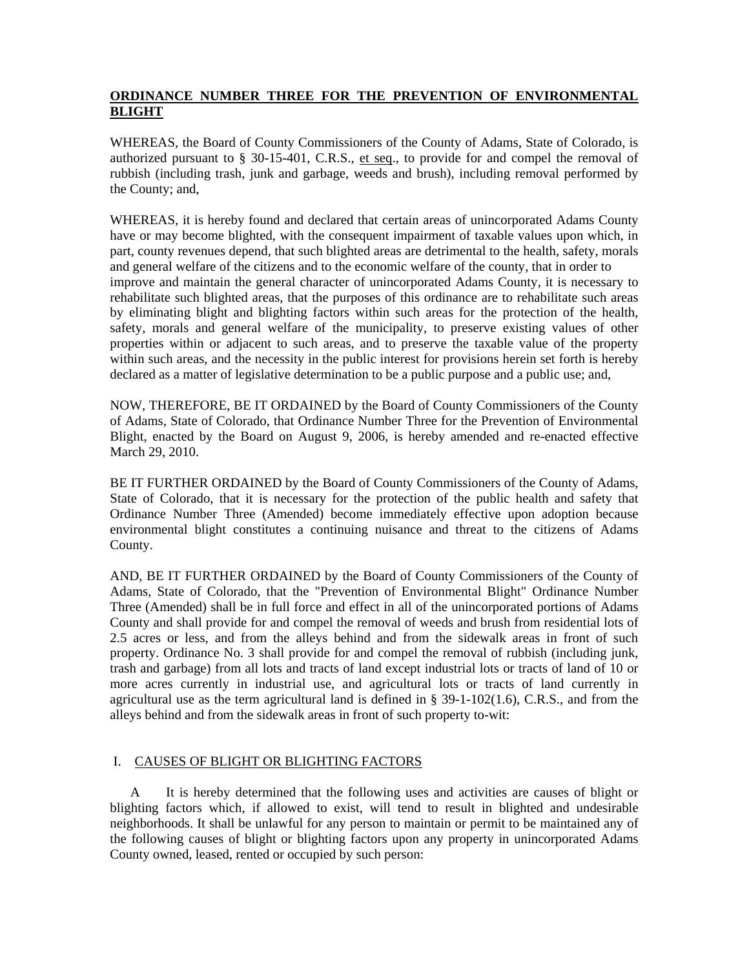# **ORDINANCE NUMBER THREE FOR THE PREVENTION OF ENVIRONMENTAL BLIGHT**

WHEREAS, the Board of County Commissioners of the County of Adams, State of Colorado, is authorized pursuant to § 30-15-401, C.R.S., et seq., to provide for and compel the removal of rubbish (including trash, junk and garbage, weeds and brush), including removal performed by the County; and,

WHEREAS, it is hereby found and declared that certain areas of unincorporated Adams County have or may become blighted, with the consequent impairment of taxable values upon which, in part, county revenues depend, that such blighted areas are detrimental to the health, safety, morals and general welfare of the citizens and to the economic welfare of the county, that in order to improve and maintain the general character of unincorporated Adams County, it is necessary to rehabilitate such blighted areas, that the purposes of this ordinance are to rehabilitate such areas by eliminating blight and blighting factors within such areas for the protection of the health, safety, morals and general welfare of the municipality, to preserve existing values of other properties within or adjacent to such areas, and to preserve the taxable value of the property within such areas, and the necessity in the public interest for provisions herein set forth is hereby declared as a matter of legislative determination to be a public purpose and a public use; and,

NOW, THEREFORE, BE IT ORDAINED by the Board of County Commissioners of the County of Adams, State of Colorado, that Ordinance Number Three for the Prevention of Environmental Blight, enacted by the Board on August 9, 2006, is hereby amended and re-enacted effective March 29, 2010.

BE IT FURTHER ORDAINED by the Board of County Commissioners of the County of Adams, State of Colorado, that it is necessary for the protection of the public health and safety that Ordinance Number Three (Amended) become immediately effective upon adoption because environmental blight constitutes a continuing nuisance and threat to the citizens of Adams County.

AND, BE IT FURTHER ORDAINED by the Board of County Commissioners of the County of Adams, State of Colorado, that the "Prevention of Environmental Blight" Ordinance Number Three (Amended) shall be in full force and effect in all of the unincorporated portions of Adams County and shall provide for and compel the removal of weeds and brush from residential lots of 2.5 acres or less, and from the alleys behind and from the sidewalk areas in front of such property. Ordinance No. 3 shall provide for and compel the removal of rubbish (including junk, trash and garbage) from all lots and tracts of land except industrial lots or tracts of land of 10 or more acres currently in industrial use, and agricultural lots or tracts of land currently in agricultural use as the term agricultural land is defined in § 39-1-102(1.6), C.R.S., and from the alleys behind and from the sidewalk areas in front of such property to-wit:

### I. CAUSES OF BLIGHT OR BLIGHTING FACTORS

 A It is hereby determined that the following uses and activities are causes of blight or blighting factors which, if allowed to exist, will tend to result in blighted and undesirable neighborhoods. It shall be unlawful for any person to maintain or permit to be maintained any of the following causes of blight or blighting factors upon any property in unincorporated Adams County owned, leased, rented or occupied by such person: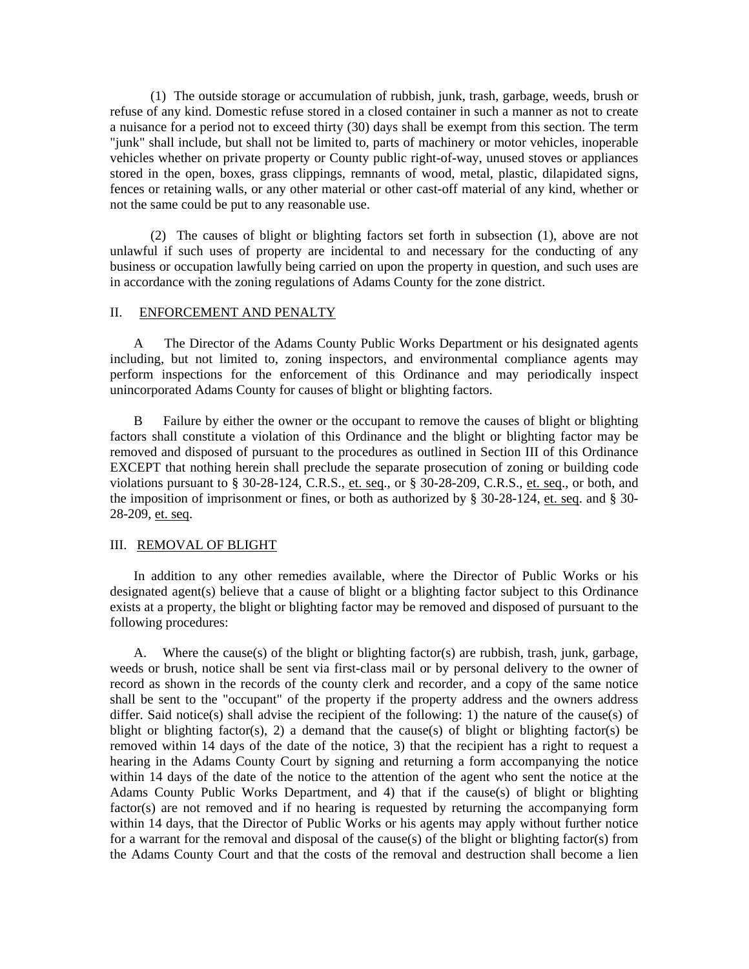(1) The outside storage or accumulation of rubbish, junk, trash, garbage, weeds, brush or refuse of any kind. Domestic refuse stored in a closed container in such a manner as not to create a nuisance for a period not to exceed thirty (30) days shall be exempt from this section. The term "junk" shall include, but shall not be limited to, parts of machinery or motor vehicles, inoperable vehicles whether on private property or County public right-of-way, unused stoves or appliances stored in the open, boxes, grass clippings, remnants of wood, metal, plastic, dilapidated signs, fences or retaining walls, or any other material or other cast-off material of any kind, whether or not the same could be put to any reasonable use.

 (2) The causes of blight or blighting factors set forth in subsection (1), above are not unlawful if such uses of property are incidental to and necessary for the conducting of any business or occupation lawfully being carried on upon the property in question, and such uses are in accordance with the zoning regulations of Adams County for the zone district.

#### II. ENFORCEMENT AND PENALTY

 A The Director of the Adams County Public Works Department or his designated agents including, but not limited to, zoning inspectors, and environmental compliance agents may perform inspections for the enforcement of this Ordinance and may periodically inspect unincorporated Adams County for causes of blight or blighting factors.

 B Failure by either the owner or the occupant to remove the causes of blight or blighting factors shall constitute a violation of this Ordinance and the blight or blighting factor may be removed and disposed of pursuant to the procedures as outlined in Section III of this Ordinance EXCEPT that nothing herein shall preclude the separate prosecution of zoning or building code violations pursuant to  $\S 30-28-124$ , C.R.S., et. seq., or  $\S 30-28-209$ , C.R.S., et. seq., or both, and the imposition of imprisonment or fines, or both as authorized by § 30-28-124, et. seq. and § 30- 28-209, et. seq.

#### III. REMOVAL OF BLIGHT

 In addition to any other remedies available, where the Director of Public Works or his designated agent(s) believe that a cause of blight or a blighting factor subject to this Ordinance exists at a property, the blight or blighting factor may be removed and disposed of pursuant to the following procedures:

 A. Where the cause(s) of the blight or blighting factor(s) are rubbish, trash, junk, garbage, weeds or brush, notice shall be sent via first-class mail or by personal delivery to the owner of record as shown in the records of the county clerk and recorder, and a copy of the same notice shall be sent to the "occupant" of the property if the property address and the owners address differ. Said notice(s) shall advise the recipient of the following: 1) the nature of the cause(s) of blight or blighting factor(s), 2) a demand that the cause(s) of blight or blighting factor(s) be removed within 14 days of the date of the notice, 3) that the recipient has a right to request a hearing in the Adams County Court by signing and returning a form accompanying the notice within 14 days of the date of the notice to the attention of the agent who sent the notice at the Adams County Public Works Department, and 4) that if the cause(s) of blight or blighting factor(s) are not removed and if no hearing is requested by returning the accompanying form within 14 days, that the Director of Public Works or his agents may apply without further notice for a warrant for the removal and disposal of the cause(s) of the blight or blighting factor(s) from the Adams County Court and that the costs of the removal and destruction shall become a lien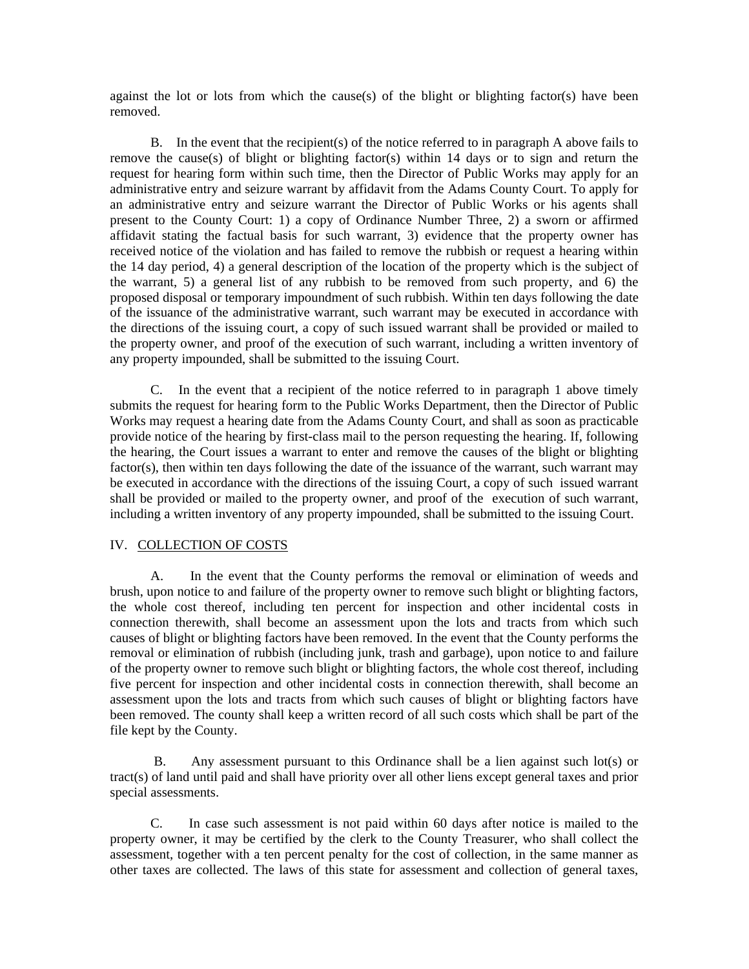against the lot or lots from which the cause(s) of the blight or blighting factor(s) have been removed.

 B. In the event that the recipient(s) of the notice referred to in paragraph A above fails to remove the cause(s) of blight or blighting factor(s) within 14 days or to sign and return the request for hearing form within such time, then the Director of Public Works may apply for an administrative entry and seizure warrant by affidavit from the Adams County Court. To apply for an administrative entry and seizure warrant the Director of Public Works or his agents shall present to the County Court: 1) a copy of Ordinance Number Three, 2) a sworn or affirmed affidavit stating the factual basis for such warrant, 3) evidence that the property owner has received notice of the violation and has failed to remove the rubbish or request a hearing within the 14 day period, 4) a general description of the location of the property which is the subject of the warrant, 5) a general list of any rubbish to be removed from such property, and 6) the proposed disposal or temporary impoundment of such rubbish. Within ten days following the date of the issuance of the administrative warrant, such warrant may be executed in accordance with the directions of the issuing court, a copy of such issued warrant shall be provided or mailed to the property owner, and proof of the execution of such warrant, including a written inventory of any property impounded, shall be submitted to the issuing Court.

 C. In the event that a recipient of the notice referred to in paragraph 1 above timely submits the request for hearing form to the Public Works Department, then the Director of Public Works may request a hearing date from the Adams County Court, and shall as soon as practicable provide notice of the hearing by first-class mail to the person requesting the hearing. If, following the hearing, the Court issues a warrant to enter and remove the causes of the blight or blighting factor(s), then within ten days following the date of the issuance of the warrant, such warrant may be executed in accordance with the directions of the issuing Court, a copy of such issued warrant shall be provided or mailed to the property owner, and proof of the execution of such warrant, including a written inventory of any property impounded, shall be submitted to the issuing Court.

# IV. COLLECTION OF COSTS

 A. In the event that the County performs the removal or elimination of weeds and brush, upon notice to and failure of the property owner to remove such blight or blighting factors, the whole cost thereof, including ten percent for inspection and other incidental costs in connection therewith, shall become an assessment upon the lots and tracts from which such causes of blight or blighting factors have been removed. In the event that the County performs the removal or elimination of rubbish (including junk, trash and garbage), upon notice to and failure of the property owner to remove such blight or blighting factors, the whole cost thereof, including five percent for inspection and other incidental costs in connection therewith, shall become an assessment upon the lots and tracts from which such causes of blight or blighting factors have been removed. The county shall keep a written record of all such costs which shall be part of the file kept by the County.

B. Any assessment pursuant to this Ordinance shall be a lien against such lot(s) or tract(s) of land until paid and shall have priority over all other liens except general taxes and prior special assessments.

 C. In case such assessment is not paid within 60 days after notice is mailed to the property owner, it may be certified by the clerk to the County Treasurer, who shall collect the assessment, together with a ten percent penalty for the cost of collection, in the same manner as other taxes are collected. The laws of this state for assessment and collection of general taxes,